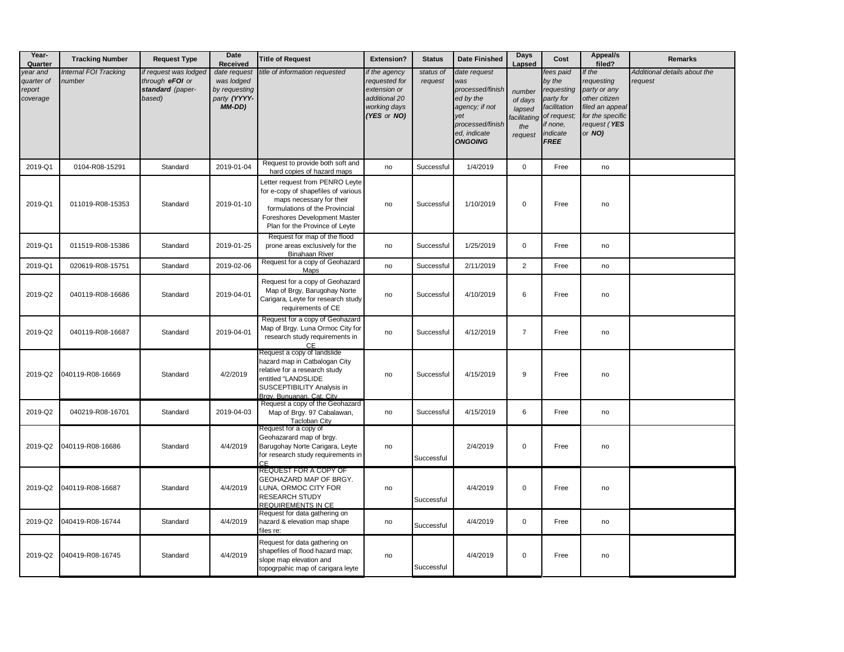| Year-<br>Quarter                             | <b>Tracking Number</b>          | <b>Request Type</b>                                                    | <b>Date</b><br>Received                                               | <b>Title of Request</b>                                                                                                                                                                                 | <b>Extension?</b>                                                                              | <b>Status</b>        | Date Finished                                                                                                                       | <b>Days</b><br>Lapsed                                         | Cost                                                                                                                 | Appeal/s<br>filed?                                                                                                     | <b>Remarks</b>                          |
|----------------------------------------------|---------------------------------|------------------------------------------------------------------------|-----------------------------------------------------------------------|---------------------------------------------------------------------------------------------------------------------------------------------------------------------------------------------------------|------------------------------------------------------------------------------------------------|----------------------|-------------------------------------------------------------------------------------------------------------------------------------|---------------------------------------------------------------|----------------------------------------------------------------------------------------------------------------------|------------------------------------------------------------------------------------------------------------------------|-----------------------------------------|
| year and<br>quarter of<br>report<br>coverage | Internal FOI Tracking<br>number | if request was lodged<br>through eFOI or<br>standard (paper-<br>based) | date request<br>was lodged<br>by requesting<br>party (YYYY-<br>MM-DD) | title of information requested                                                                                                                                                                          | if the agency<br>requested for<br>extension or<br>additional 20<br>working days<br>(YES or NO) | status of<br>request | date request<br>was<br>processed/finish<br>ed by the<br>agency; if not<br>yet<br>processed/finish<br>ed, indicate<br><b>ONGOING</b> | number<br>of days<br>lapsed<br>facilitating<br>the<br>request | fees paid<br>by the<br>requesting<br>party for<br>facilitation<br>of request;<br>if none,<br>indicate<br><b>FREE</b> | If the<br>requesting<br>party or any<br>other citizen<br>filed an appeal<br>for the specific<br>request (YES<br>or NO) | Additional details about the<br>request |
| 2019-Q1                                      | 0104-R08-15291                  | Standard                                                               | 2019-01-04                                                            | Request to provide both soft and<br>hard copies of hazard maps                                                                                                                                          | no                                                                                             | Successful           | 1/4/2019                                                                                                                            | $\mathbf 0$                                                   | Free                                                                                                                 | no                                                                                                                     |                                         |
| 2019-Q1                                      | 011019-R08-15353                | Standard                                                               | 2019-01-10                                                            | Letter request from PENRO Leyte<br>for e-copy of shapefiles of various<br>maps necessary for their<br>formulations of the Provincial<br>Foreshores Development Master<br>Plan for the Province of Leyte | no                                                                                             | Successful           | 1/10/2019                                                                                                                           | 0                                                             | Free                                                                                                                 | no                                                                                                                     |                                         |
| 2019-Q1                                      | 011519-R08-15386                | Standard                                                               | 2019-01-25                                                            | Request for map of the flood<br>prone areas exclusively for the<br><b>Binahaan River</b>                                                                                                                | no                                                                                             | Successful           | 1/25/2019                                                                                                                           | $\mathsf{O}$                                                  | Free                                                                                                                 | no                                                                                                                     |                                         |
| 2019-Q1                                      | 020619-R08-15751                | Standard                                                               | 2019-02-06                                                            | Request for a copy of Geohazard<br>Maps                                                                                                                                                                 | no                                                                                             | Successful           | 2/11/2019                                                                                                                           | $\overline{2}$                                                | Free                                                                                                                 | no                                                                                                                     |                                         |
| 2019-Q2                                      | 040119-R08-16686                | Standard                                                               | 2019-04-01                                                            | Request for a copy of Geohazard<br>Map of Brgy, Barugohay Norte<br>Carigara, Leyte for research study<br>requirements of CE                                                                             | no                                                                                             | Successful           | 4/10/2019                                                                                                                           | 6                                                             | Free                                                                                                                 | no                                                                                                                     |                                         |
| 2019-Q2                                      | 040119-R08-16687                | Standard                                                               | 2019-04-01                                                            | Request for a copy of Geohazard<br>Map of Brgy. Luna Ormoc City for<br>research study requirements in<br><b>CE</b>                                                                                      | no                                                                                             | Successful           | 4/12/2019                                                                                                                           | $\overline{7}$                                                | Free                                                                                                                 | no                                                                                                                     |                                         |
| 2019-Q2                                      | 040119-R08-16669                | Standard                                                               | 4/2/2019                                                              | Request a copy of landslide<br>hazard map in Catbalogan City<br>relative for a research study<br>entitled "LANDSLIDE<br>SUSCEPTIBILITY Analysis in<br>Brav. Bunuanan, Cat. City                         | no                                                                                             | Successful           | 4/15/2019                                                                                                                           | 9                                                             | Free                                                                                                                 | no                                                                                                                     |                                         |
| 2019-Q2                                      | 040219-R08-16701                | Standard                                                               | 2019-04-03                                                            | Request a copy of the Geohazard<br>Map of Brgy. 97 Cabalawan,<br><b>Tacloban City</b>                                                                                                                   | no                                                                                             | Successful           | 4/15/2019                                                                                                                           | 6                                                             | Free                                                                                                                 | no                                                                                                                     |                                         |
| 2019-Q2                                      | 040119-R08-16686                | Standard                                                               | 4/4/2019                                                              | Request for a copy of<br>Geohazarard map of brgy.<br>Barugohay Norte Carigara, Leyte<br>for research study requirements in<br>CF.                                                                       | no                                                                                             | Successful           | 2/4/2019                                                                                                                            | 0                                                             | Free                                                                                                                 | no                                                                                                                     |                                         |
| 2019-Q2                                      | 040119-R08-16687                | Standard                                                               | 4/4/2019                                                              | <b>REQUEST FOR A COPY OF</b><br>GEOHAZARD MAP OF BRGY.<br>LUNA, ORMOC CITY FOR<br>RESEARCH STUDY<br><b>REQUIREMENTS IN CE</b>                                                                           | no                                                                                             | Successful           | 4/4/2019                                                                                                                            | $\mathbf 0$                                                   | Free                                                                                                                 | no                                                                                                                     |                                         |
| 2019-Q2                                      | 040419-R08-16744                | Standard                                                               | 4/4/2019                                                              | Request for data gathering on<br>hazard & elevation map shape<br>files re:                                                                                                                              | no                                                                                             | Successful           | 4/4/2019                                                                                                                            | $\mathbf 0$                                                   | Free                                                                                                                 | no                                                                                                                     |                                         |
| 2019-Q2                                      | 040419-R08-16745                | Standard                                                               | 4/4/2019                                                              | Request for data gathering on<br>shapefiles of flood hazard map;<br>slope map elevation and<br>topogrpahic map of carigara leyte                                                                        | no                                                                                             | Successful           | 4/4/2019                                                                                                                            | 0                                                             | Free                                                                                                                 | no                                                                                                                     |                                         |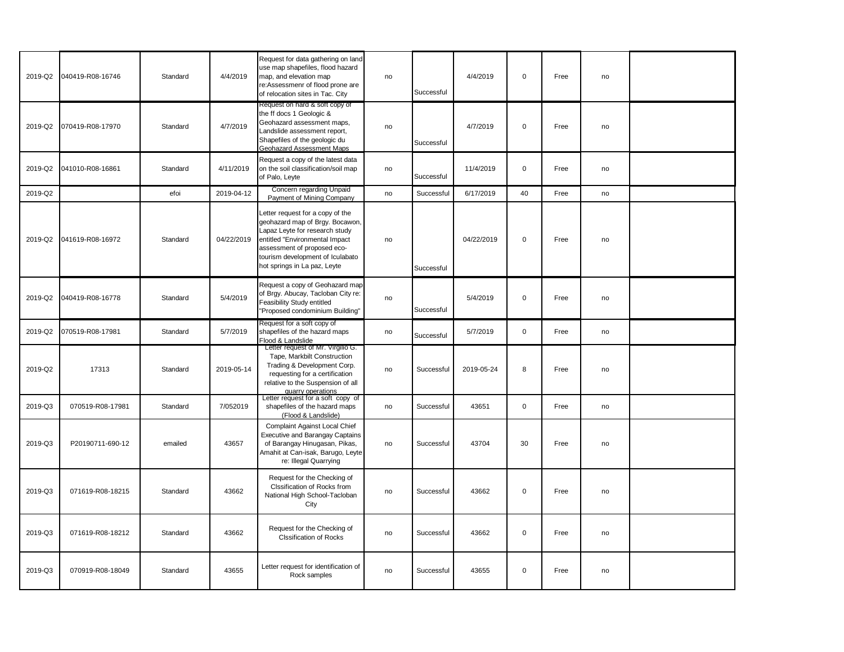| 2019-Q2 | 040419-R08-16746 | Standard | 4/4/2019   | Request for data gathering on land<br>use map shapefiles, flood hazard<br>map, and elevation map<br>re:Assessmenr of flood prone are<br>of relocation sites in Tac. City                                                                   | no | Successful | 4/4/2019   | $\mathbf 0$ | Free | no |  |
|---------|------------------|----------|------------|--------------------------------------------------------------------------------------------------------------------------------------------------------------------------------------------------------------------------------------------|----|------------|------------|-------------|------|----|--|
| 2019-Q2 | 070419-R08-17970 | Standard | 4/7/2019   | Request on hard & soft copy of<br>the ff docs 1 Geologic &<br>Geohazard assessment maps,<br>Landslide assessment report,<br>Shapefiles of the geologic du<br>Geohazard Assessment Maps                                                     | no | Successful | 4/7/2019   | $\mathbf 0$ | Free | no |  |
| 2019-Q2 | 041010-R08-16861 | Standard | 4/11/2019  | Request a copy of the latest data<br>on the soil classification/soil map<br>of Palo, Leyte                                                                                                                                                 | no | Successful | 11/4/2019  | $\mathbf 0$ | Free | no |  |
| 2019-Q2 |                  | efoi     | 2019-04-12 | Concern regarding Unpaid<br>Payment of Mining Company                                                                                                                                                                                      | no | Successful | 6/17/2019  | 40          | Free | no |  |
| 2019-Q2 | 041619-R08-16972 | Standard | 04/22/2019 | Letter request for a copy of the<br>geohazard map of Brgy. Bocawon,<br>Lapaz Leyte for research study<br>entitled "Environmental Impact<br>assessment of proposed eco-<br>tourism development of Iculabato<br>hot springs in La paz, Leyte | no | Successful | 04/22/2019 | $\mathbf 0$ | Free | no |  |
| 2019-Q2 | 040419-R08-16778 | Standard | 5/4/2019   | Request a copy of Geohazard map<br>of Brgy. Abucay, Tacloban City re:<br>Feasibility Study entitled<br>"Proposed condominium Building"                                                                                                     | no | Successful | 5/4/2019   | $\pmb{0}$   | Free | no |  |
| 2019-Q2 | 070519-R08-17981 | Standard | 5/7/2019   | Request for a soft copy of<br>shapefiles of the hazard maps<br>Flood & Landslide                                                                                                                                                           | no | Successful | 5/7/2019   | $\mathsf 0$ | Free | no |  |
| 2019-Q2 | 17313            | Standard | 2019-05-14 | Letter request of Mr. Virgilio G.<br>Tape, Markbilt Construction<br>Trading & Development Corp.<br>requesting for a certification<br>relative to the Suspension of all<br>quarry operations                                                | no | Successful | 2019-05-24 | 8           | Free | no |  |
| 2019-Q3 | 070519-R08-17981 | Standard | 7/052019   | Letter request for a soft copy of<br>shapefiles of the hazard maps<br>(Flood & Landslide)                                                                                                                                                  | no | Successful | 43651      | $\mathsf 0$ | Free | no |  |
| 2019-Q3 | P20190711-690-12 | emailed  | 43657      | Complaint Against Local Chief<br><b>Executive and Barangay Captains</b><br>of Barangay Hinugasan, Pikas,<br>Amahit at Can-isak, Barugo, Leyte<br>re: Illegal Quarrying                                                                     | no | Successful | 43704      | 30          | Free | no |  |
| 2019-Q3 | 071619-R08-18215 | Standard | 43662      | Request for the Checking of<br>Clssification of Rocks from<br>National High School-Tacloban<br>City                                                                                                                                        | no | Successful | 43662      | $\mathbf 0$ | Free | no |  |
| 2019-Q3 | 071619-R08-18212 | Standard | 43662      | Request for the Checking of<br><b>Clssification of Rocks</b>                                                                                                                                                                               | no | Successful | 43662      | $\mathbf 0$ | Free | no |  |
| 2019-Q3 | 070919-R08-18049 | Standard | 43655      | Letter request for identification of<br>Rock samples                                                                                                                                                                                       | no | Successful | 43655      | $\mathbf 0$ | Free | no |  |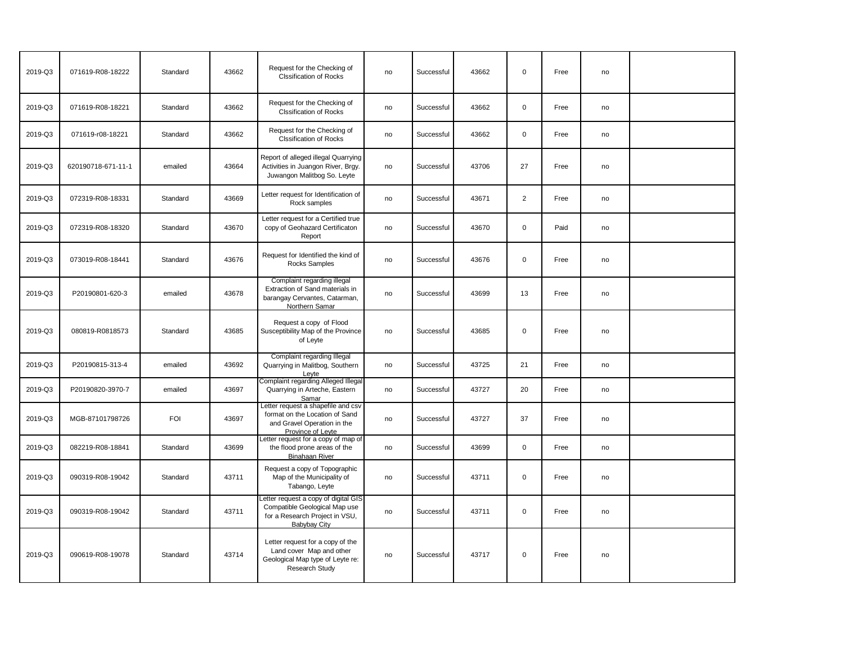| 2019-Q3 | 071619-R08-18222   | Standard   | 43662 | Request for the Checking of<br><b>Clssification of Rocks</b>                                                                   | no | Successful | 43662 | $\mathbf 0$    | Free | no |  |
|---------|--------------------|------------|-------|--------------------------------------------------------------------------------------------------------------------------------|----|------------|-------|----------------|------|----|--|
| 2019-Q3 | 071619-R08-18221   | Standard   | 43662 | Request for the Checking of<br><b>Clssification of Rocks</b>                                                                   | no | Successful | 43662 | $\mathbf 0$    | Free | no |  |
| 2019-Q3 | 071619-r08-18221   | Standard   | 43662 | Request for the Checking of<br><b>Clssification of Rocks</b>                                                                   | no | Successful | 43662 | $\mathbf 0$    | Free | no |  |
| 2019-Q3 | 620190718-671-11-1 | emailed    | 43664 | Report of alleged illegal Quarrying<br>Activities in Juangon River, Brgy.<br>Juwangon Malitbog So. Leyte                       | no | Successful | 43706 | 27             | Free | no |  |
| 2019-Q3 | 072319-R08-18331   | Standard   | 43669 | Letter request for Identification of<br>Rock samples                                                                           | no | Successful | 43671 | $\overline{2}$ | Free | no |  |
| 2019-Q3 | 072319-R08-18320   | Standard   | 43670 | Letter request for a Certified true<br>copy of Geohazard Certificaton<br>Report                                                | no | Successful | 43670 | $\mathbf 0$    | Paid | no |  |
| 2019-Q3 | 073019-R08-18441   | Standard   | 43676 | Request for Identified the kind of<br>Rocks Samples                                                                            | no | Successful | 43676 | $\mathbf 0$    | Free | no |  |
| 2019-Q3 | P20190801-620-3    | emailed    | 43678 | Complaint regarding illegal<br>Extraction of Sand materials in<br>barangay Cervantes, Catarman,<br>Northern Samar              | no | Successful | 43699 | 13             | Free | no |  |
| 2019-Q3 | 080819-R0818573    | Standard   | 43685 | Request a copy of Flood<br>Susceptibility Map of the Province<br>of Leyte                                                      | no | Successful | 43685 | $\mathbf{0}$   | Free | no |  |
| 2019-Q3 | P20190815-313-4    | emailed    | 43692 | Complaint regarding Illegal<br>Quarrying in Malitbog, Southern<br>Leyte                                                        | no | Successful | 43725 | 21             | Free | no |  |
| 2019-Q3 | P20190820-3970-7   | emailed    | 43697 | Complaint regarding Alleged Illegal<br>Quarrying in Arteche, Eastern<br>Samar                                                  | no | Successful | 43727 | 20             | Free | no |  |
| 2019-Q3 | MGB-87101798726    | <b>FOI</b> | 43697 | Letter request a shapefile and csv<br>format on the Location of Sand<br>and Gravel Operation in the<br>Province of Leyte       | no | Successful | 43727 | 37             | Free | no |  |
| 2019-Q3 | 082219-R08-18841   | Standard   | 43699 | Letter request for a copy of map of<br>the flood prone areas of the<br><b>Binahaan River</b>                                   | no | Successful | 43699 | $\mathbf 0$    | Free | no |  |
| 2019-Q3 | 090319-R08-19042   | Standard   | 43711 | Request a copy of Topographic<br>Map of the Municipality of<br>Tabango, Leyte                                                  | no | Successful | 43711 | $\mathbf 0$    | Free | no |  |
| 2019-Q3 | 090319-R08-19042   | Standard   | 43711 | Letter request a copy of digital GIS<br>Compatible Geological Map use<br>for a Research Project in VSU,<br><b>Babybay City</b> | no | Successful | 43711 | $\pmb{0}$      | Free | no |  |
| 2019-Q3 | 090619-R08-19078   | Standard   | 43714 | Letter request for a copy of the<br>Land cover Map and other<br>Geological Map type of Leyte re:<br>Research Study             | no | Successful | 43717 | $\mathbf 0$    | Free | no |  |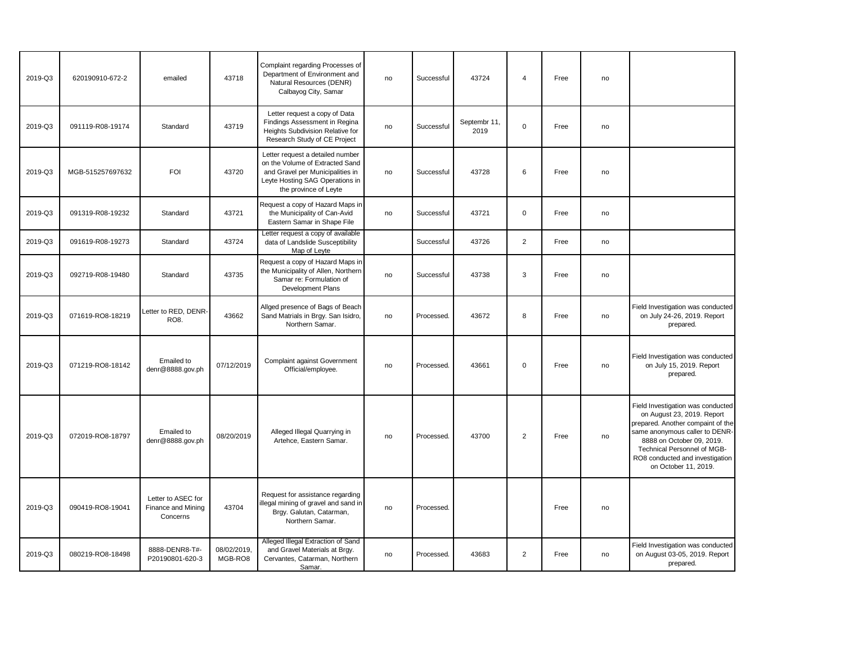| 2019-Q3 | 620190910-672-2  | emailed                                              | 43718                  | Complaint regarding Processes of<br>Department of Environment and<br>Natural Resources (DENR)<br>Calbayog City, Samar                                               | no | Successful | 43724                | $\overline{4}$ | Free | no |                                                                                                                                                                                                                                                               |
|---------|------------------|------------------------------------------------------|------------------------|---------------------------------------------------------------------------------------------------------------------------------------------------------------------|----|------------|----------------------|----------------|------|----|---------------------------------------------------------------------------------------------------------------------------------------------------------------------------------------------------------------------------------------------------------------|
| 2019-Q3 | 091119-R08-19174 | Standard                                             | 43719                  | Letter request a copy of Data<br>Findings Assessment in Regina<br>Heights Subdivision Relative for<br>Research Study of CE Project                                  | no | Successful | Septembr 11,<br>2019 | $\mathbf 0$    | Free | no |                                                                                                                                                                                                                                                               |
| 2019-Q3 | MGB-515257697632 | <b>FOI</b>                                           | 43720                  | Letter request a detailed number<br>on the Volume of Extracted Sand<br>and Gravel per Municipalities in<br>Leyte Hosting SAG Operations in<br>the province of Leyte | no | Successful | 43728                | 6              | Free | no |                                                                                                                                                                                                                                                               |
| 2019-Q3 | 091319-R08-19232 | Standard                                             | 43721                  | Request a copy of Hazard Maps in<br>the Municipality of Can-Avid<br>Eastern Samar in Shape File                                                                     | no | Successful | 43721                | $\mathsf 0$    | Free | no |                                                                                                                                                                                                                                                               |
| 2019-Q3 | 091619-R08-19273 | Standard                                             | 43724                  | Letter request a copy of available<br>data of Landslide Susceptibility<br>Map of Leyte                                                                              |    | Successful | 43726                | $\overline{2}$ | Free | no |                                                                                                                                                                                                                                                               |
| 2019-Q3 | 092719-R08-19480 | Standard                                             | 43735                  | Request a copy of Hazard Maps in<br>the Municipality of Allen, Northern<br>Samar re: Formulation of<br><b>Development Plans</b>                                     | no | Successful | 43738                | 3              | Free | no |                                                                                                                                                                                                                                                               |
| 2019-Q3 | 071619-RO8-18219 | Letter to RED, DENR-<br>RO8.                         | 43662                  | Allged presence of Bags of Beach<br>Sand Matrials in Brgy. San Isidro,<br>Northern Samar.                                                                           | no | Processed. | 43672                | 8              | Free | no | Field Investigation was conducted<br>on July 24-26, 2019. Report<br>prepared.                                                                                                                                                                                 |
| 2019-Q3 | 071219-RO8-18142 | Emailed to<br>denr@8888.gov.ph                       | 07/12/2019             | Complaint against Government<br>Official/employee.                                                                                                                  | no | Processed. | 43661                | $\mathbf 0$    | Free | no | Field Investigation was conducted<br>on July 15, 2019. Report<br>prepared.                                                                                                                                                                                    |
| 2019-Q3 | 072019-RO8-18797 | Emailed to<br>denr@8888.gov.ph                       | 08/20/2019             | Alleged Illegal Quarrying in<br>Artehce, Eastern Samar.                                                                                                             | no | Processed. | 43700                | $\overline{2}$ | Free | no | Field Investigation was conducted<br>on August 23, 2019. Report<br>prepared. Another compaint of the<br>same anonymous caller to DENR-<br>8888 on October 09, 2019.<br>Technical Personnel of MGB-<br>RO8 conducted and investigation<br>on October 11, 2019. |
| 2019-Q3 | 090419-RO8-19041 | Letter to ASEC for<br>Finance and Mining<br>Concerns | 43704                  | Request for assistance regarding<br>illegal mining of gravel and sand in<br>Brgy. Galutan, Catarman,<br>Northern Samar.                                             | no | Processed. |                      |                | Free | no |                                                                                                                                                                                                                                                               |
| 2019-Q3 | 080219-RO8-18498 | 8888-DENR8-T#-<br>P20190801-620-3                    | 08/02/2019.<br>MGB-RO8 | Alleged Illegal Extraction of Sand<br>and Gravel Materials at Brgy.<br>Cervantes, Catarman, Northern<br>Samar.                                                      | no | Processed. | 43683                | $\overline{2}$ | Free | no | Field Investigation was conducted<br>on August 03-05, 2019. Report<br>prepared.                                                                                                                                                                               |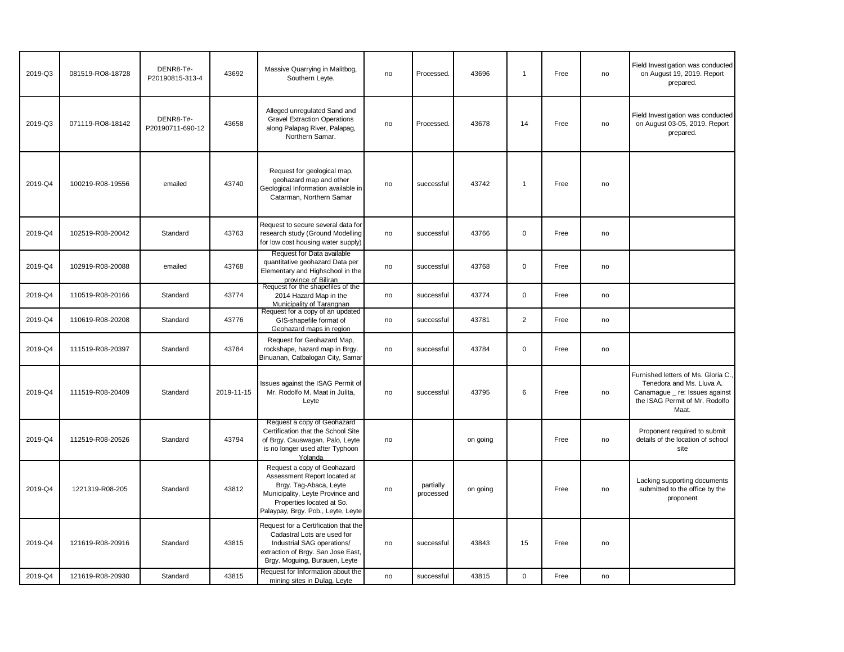| 2019-Q3 | 081519-RO8-18728 | DENR8-T#-<br>P20190815-313-4  | 43692      | Massive Quarrying in Malitbog<br>Southern Leyte.                                                                                                                                             | no | Processed.             | 43696    | $\overline{1}$ | Free | no | Field Investigation was conducted<br>on August 19, 2019. Report<br>prepared.                                                                  |
|---------|------------------|-------------------------------|------------|----------------------------------------------------------------------------------------------------------------------------------------------------------------------------------------------|----|------------------------|----------|----------------|------|----|-----------------------------------------------------------------------------------------------------------------------------------------------|
| 2019-Q3 | 071119-RO8-18142 | DENR8-T#-<br>P20190711-690-12 | 43658      | Alleged unregulated Sand and<br><b>Gravel Extraction Operations</b><br>along Palapag River, Palapag,<br>Northern Samar.                                                                      | no | Processed.             | 43678    | 14             | Free | no | Field Investigation was conducted<br>on August 03-05, 2019. Report<br>prepared.                                                               |
| 2019-Q4 | 100219-R08-19556 | emailed                       | 43740      | Request for geological map,<br>geohazard map and other<br>Geological Information available in<br>Catarman, Northern Samar                                                                    | no | successful             | 43742    | $\mathbf{1}$   | Free | no |                                                                                                                                               |
| 2019-Q4 | 102519-R08-20042 | Standard                      | 43763      | Request to secure several data for<br>research study (Ground Modelling<br>for low cost housing water supply)                                                                                 | no | successful             | 43766    | $\mathbf 0$    | Free | no |                                                                                                                                               |
| 2019-Q4 | 102919-R08-20088 | emailed                       | 43768      | Request for Data available<br>quantitative geohazard Data per<br>Elementary and Highschool in the<br>province of Biliran                                                                     | no | successful             | 43768    | $\mathbf 0$    | Free | no |                                                                                                                                               |
| 2019-Q4 | 110519-R08-20166 | Standard                      | 43774      | Request for the shapefiles of the<br>2014 Hazard Map in the<br>Municipality of Tarangnan                                                                                                     | no | successful             | 43774    | $\mathbf 0$    | Free | no |                                                                                                                                               |
| 2019-Q4 | 110619-R08-20208 | Standard                      | 43776      | Request for a copy of an updated<br>GIS-shapefile format of<br>Geohazard maps in region                                                                                                      | no | successful             | 43781    | 2              | Free | no |                                                                                                                                               |
| 2019-Q4 | 111519-R08-20397 | Standard                      | 43784      | Request for Geohazard Map,<br>rockshape, hazard map in Brgy.<br>Binuanan, Catbalogan City, Samar                                                                                             | no | successful             | 43784    | $\mathbf 0$    | Free | no |                                                                                                                                               |
| 2019-Q4 | 111519-R08-20409 | Standard                      | 2019-11-15 | Issues against the ISAG Permit of<br>Mr. Rodolfo M. Maat in Julita,<br>Leyte                                                                                                                 | no | successful             | 43795    | 6              | Free | no | Furnished letters of Ms. Gloria C.,<br>Tenedora and Ms. Lluva A.<br>Canamague _ re: Issues against<br>the ISAG Permit of Mr. Rodolfo<br>Maat. |
| 2019-Q4 | 112519-R08-20526 | Standard                      | 43794      | Request a copy of Geohazard<br>Certification that the School Site<br>of Brgy. Causwagan, Palo, Leyte<br>is no longer used after Typhoon<br>Yolanda                                           | no |                        | on going |                | Free | no | Proponent required to submit<br>details of the location of school<br>site                                                                     |
| 2019-Q4 | 1221319-R08-205  | Standard                      | 43812      | Request a copy of Geohazard<br>Assessment Report located at<br>Brgy. Tag-Abaca, Leyte<br>Municipality, Leyte Province and<br>Properties located at So.<br>Palaypay, Brgy. Pob., Leyte, Leyte | no | partially<br>processed | on going |                | Free | no | Lacking supporting documents<br>submitted to the office by the<br>proponent                                                                   |
| 2019-Q4 | 121619-R08-20916 | Standard                      | 43815      | Request for a Certification that the<br>Cadastral Lots are used for<br>Industrial SAG operations/<br>extraction of Brgy. San Jose East,<br>Brgy. Moguing, Burauen, Leyte                     | no | successful             | 43843    | 15             | Free | no |                                                                                                                                               |
| 2019-Q4 | 121619-R08-20930 | Standard                      | 43815      | Request for Information about the<br>mining sites in Dulag, Leyte                                                                                                                            | no | successful             | 43815    | $\mathbf 0$    | Free | no |                                                                                                                                               |